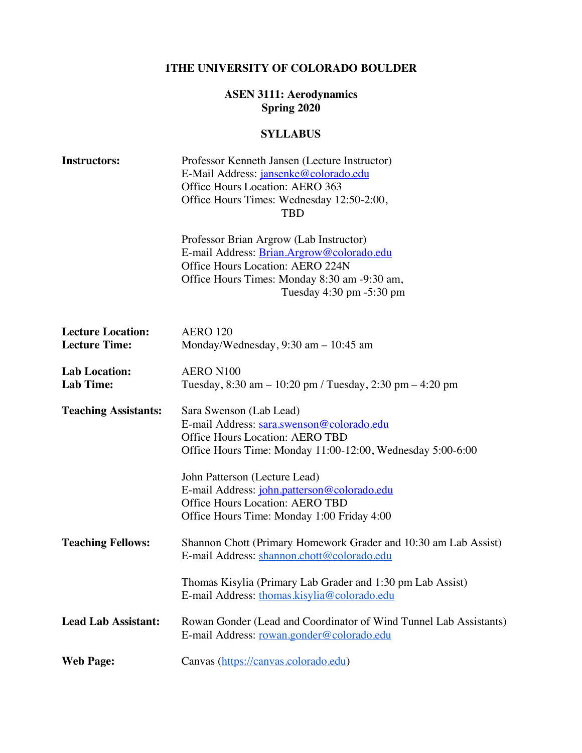# **1THE UNIVERSITY OF COLORADO BOULDER**

#### **ASEN 3111: Aerodynamics Spring 2020**

# **SYLLABUS**

| <b>Instructors:</b>                              | Professor Kenneth Jansen (Lecture Instructor)<br>E-Mail Address: jansenke@colorado.edu<br>Office Hours Location: AERO 363<br>Office Hours Times: Wednesday 12:50-2:00,<br><b>TBD</b>                 |
|--------------------------------------------------|------------------------------------------------------------------------------------------------------------------------------------------------------------------------------------------------------|
|                                                  | Professor Brian Argrow (Lab Instructor)<br>E-mail Address: Brian.Argrow@colorado.edu<br>Office Hours Location: AERO 224N<br>Office Hours Times: Monday 8:30 am -9:30 am,<br>Tuesday 4:30 pm -5:30 pm |
| <b>Lecture Location:</b><br><b>Lecture Time:</b> | <b>AERO 120</b><br>Monday/Wednesday, $9:30$ am $-10:45$ am                                                                                                                                           |
| <b>Lab Location:</b><br><b>Lab Time:</b>         | AERO N100<br>Tuesday, $8:30 \text{ am} - 10:20 \text{ pm}$ / Tuesday, $2:30 \text{ pm} - 4:20 \text{ pm}$                                                                                            |
| <b>Teaching Assistants:</b>                      | Sara Swenson (Lab Lead)<br>E-mail Address: sara.swenson@colorado.edu<br><b>Office Hours Location: AERO TBD</b><br>Office Hours Time: Monday 11:00-12:00, Wednesday 5:00-6:00                         |
|                                                  | John Patterson (Lecture Lead)<br>E-mail Address: john.patterson@colorado.edu<br><b>Office Hours Location: AERO TBD</b><br>Office Hours Time: Monday 1:00 Friday 4:00                                 |
| <b>Teaching Fellows:</b>                         | Shannon Chott (Primary Homework Grader and 10:30 am Lab Assist)<br>E-mail Address: shannon.chott@colorado.edu                                                                                        |
|                                                  | Thomas Kisylia (Primary Lab Grader and 1:30 pm Lab Assist)<br>E-mail Address: thomas.kisylia@colorado.edu                                                                                            |
| <b>Lead Lab Assistant:</b>                       | Rowan Gonder (Lead and Coordinator of Wind Tunnel Lab Assistants)<br>E-mail Address: rowan.gonder@colorado.edu                                                                                       |
| <b>Web Page:</b>                                 | Canvas (https://canvas.colorado.edu)                                                                                                                                                                 |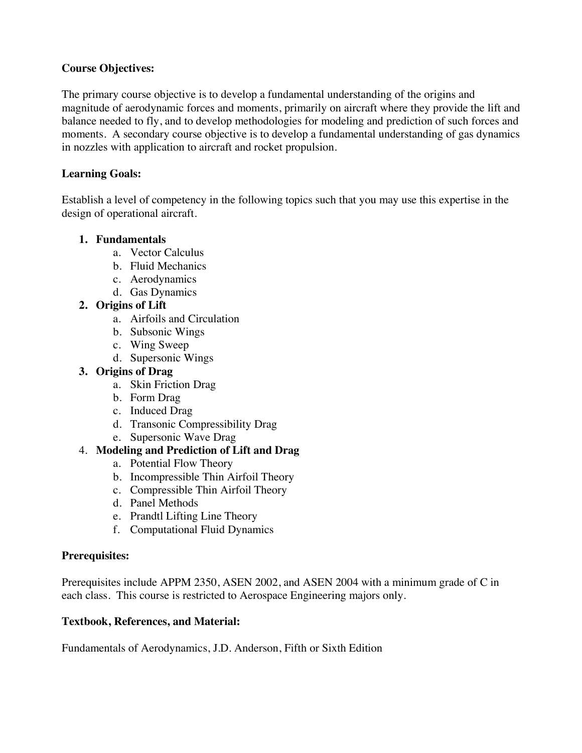## **Course Objectives:**

The primary course objective is to develop a fundamental understanding of the origins and magnitude of aerodynamic forces and moments, primarily on aircraft where they provide the lift and balance needed to fly, and to develop methodologies for modeling and prediction of such forces and moments. A secondary course objective is to develop a fundamental understanding of gas dynamics in nozzles with application to aircraft and rocket propulsion.

## **Learning Goals:**

Establish a level of competency in the following topics such that you may use this expertise in the design of operational aircraft.

### **1. Fundamentals**

- a. Vector Calculus
- b. Fluid Mechanics
- c. Aerodynamics
- d. Gas Dynamics

# **2. Origins of Lift**

- a. Airfoils and Circulation
- b. Subsonic Wings
- c. Wing Sweep
- d. Supersonic Wings

### **3. Origins of Drag**

- a. Skin Friction Drag
- b. Form Drag
- c. Induced Drag
- d. Transonic Compressibility Drag
- e. Supersonic Wave Drag

# 4. **Modeling and Prediction of Lift and Drag**

- a. Potential Flow Theory
- b. Incompressible Thin Airfoil Theory
- c. Compressible Thin Airfoil Theory
- d. Panel Methods
- e. Prandtl Lifting Line Theory
- f. Computational Fluid Dynamics

### **Prerequisites:**

Prerequisites include APPM 2350, ASEN 2002, and ASEN 2004 with a minimum grade of C in each class. This course is restricted to Aerospace Engineering majors only.

### **Textbook, References, and Material:**

Fundamentals of Aerodynamics, J.D. Anderson, Fifth or Sixth Edition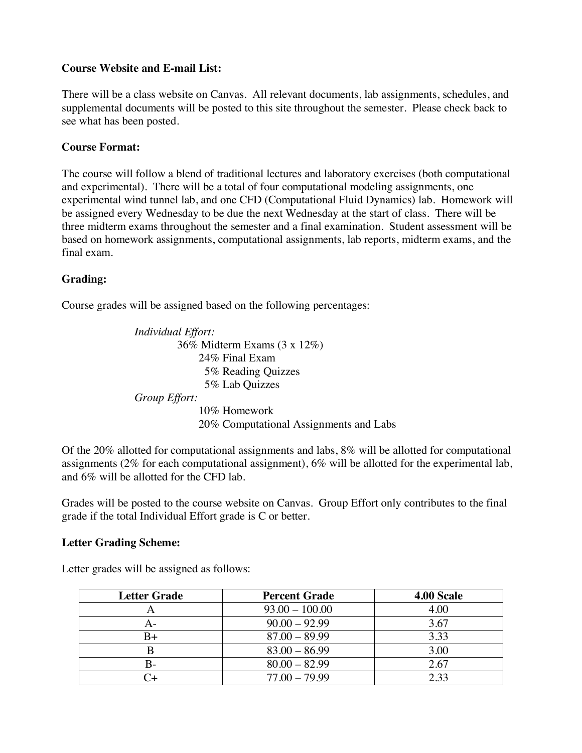## **Course Website and E-mail List:**

There will be a class website on Canvas. All relevant documents, lab assignments, schedules, and supplemental documents will be posted to this site throughout the semester. Please check back to see what has been posted.

### **Course Format:**

The course will follow a blend of traditional lectures and laboratory exercises (both computational and experimental). There will be a total of four computational modeling assignments, one experimental wind tunnel lab, and one CFD (Computational Fluid Dynamics) lab. Homework will be assigned every Wednesday to be due the next Wednesday at the start of class. There will be three midterm exams throughout the semester and a final examination. Student assessment will be based on homework assignments, computational assignments, lab reports, midterm exams, and the final exam.

# **Grading:**

Course grades will be assigned based on the following percentages:

*Individual Effort:* 36% Midterm Exams (3 x 12%) 24% Final Exam 5% Reading Quizzes 5% Lab Quizzes *Group Effort:* 10% Homework 20% Computational Assignments and Labs

Of the 20% allotted for computational assignments and labs, 8% will be allotted for computational assignments (2% for each computational assignment), 6% will be allotted for the experimental lab, and 6% will be allotted for the CFD lab.

Grades will be posted to the course website on Canvas. Group Effort only contributes to the final grade if the total Individual Effort grade is C or better.

### **Letter Grading Scheme:**

Letter grades will be assigned as follows:

| <b>Letter Grade</b> | <b>Percent Grade</b> | 4.00 Scale |
|---------------------|----------------------|------------|
| A                   | $93.00 - 100.00$     | 4.00       |
|                     | $90.00 - 92.99$      | 3.67       |
| B+                  | $87.00 - 89.99$      | 3.33       |
|                     | $83.00 - 86.99$      | 3.00       |
| B-                  | $80.00 - 82.99$      | 2.67       |
|                     | $77.00 - 79.99$      | 2.33       |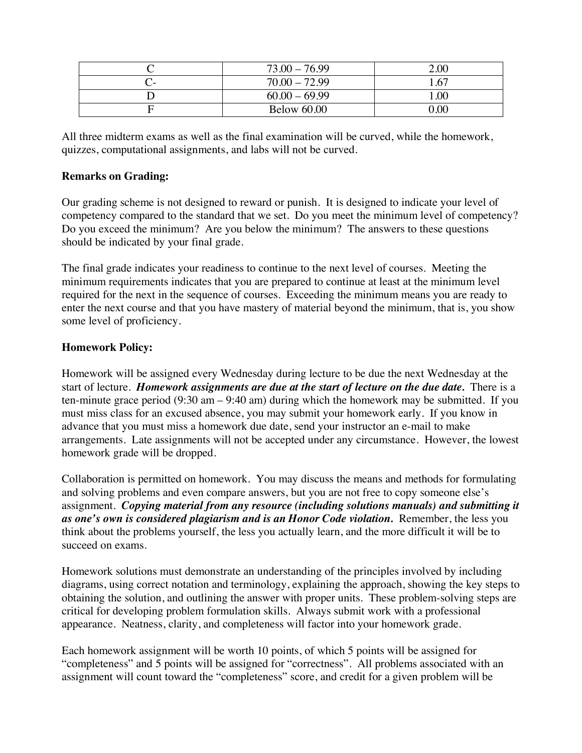| $73.00 - 76.99$    | 2.00     |
|--------------------|----------|
| $70.00 - 72.99$    | 1.67     |
| $60.00 - 69.99$    | 1.00     |
| <b>Below 60.00</b> | $0.00\,$ |

All three midterm exams as well as the final examination will be curved, while the homework, quizzes, computational assignments, and labs will not be curved.

### **Remarks on Grading:**

Our grading scheme is not designed to reward or punish. It is designed to indicate your level of competency compared to the standard that we set. Do you meet the minimum level of competency? Do you exceed the minimum? Are you below the minimum? The answers to these questions should be indicated by your final grade.

The final grade indicates your readiness to continue to the next level of courses. Meeting the minimum requirements indicates that you are prepared to continue at least at the minimum level required for the next in the sequence of courses. Exceeding the minimum means you are ready to enter the next course and that you have mastery of material beyond the minimum, that is, you show some level of proficiency.

# **Homework Policy:**

Homework will be assigned every Wednesday during lecture to be due the next Wednesday at the start of lecture. *Homework assignments are due at the start of lecture on the due date.* There is a ten-minute grace period (9:30 am – 9:40 am) during which the homework may be submitted. If you must miss class for an excused absence, you may submit your homework early. If you know in advance that you must miss a homework due date, send your instructor an e-mail to make arrangements. Late assignments will not be accepted under any circumstance. However, the lowest homework grade will be dropped.

Collaboration is permitted on homework. You may discuss the means and methods for formulating and solving problems and even compare answers, but you are not free to copy someone else's assignment. *Copying material from any resource (including solutions manuals) and submitting it as one's own is considered plagiarism and is an Honor Code violation.* Remember, the less you think about the problems yourself, the less you actually learn, and the more difficult it will be to succeed on exams.

Homework solutions must demonstrate an understanding of the principles involved by including diagrams, using correct notation and terminology, explaining the approach, showing the key steps to obtaining the solution, and outlining the answer with proper units. These problem-solving steps are critical for developing problem formulation skills. Always submit work with a professional appearance. Neatness, clarity, and completeness will factor into your homework grade.

Each homework assignment will be worth 10 points, of which 5 points will be assigned for "completeness" and 5 points will be assigned for "correctness". All problems associated with an assignment will count toward the "completeness" score, and credit for a given problem will be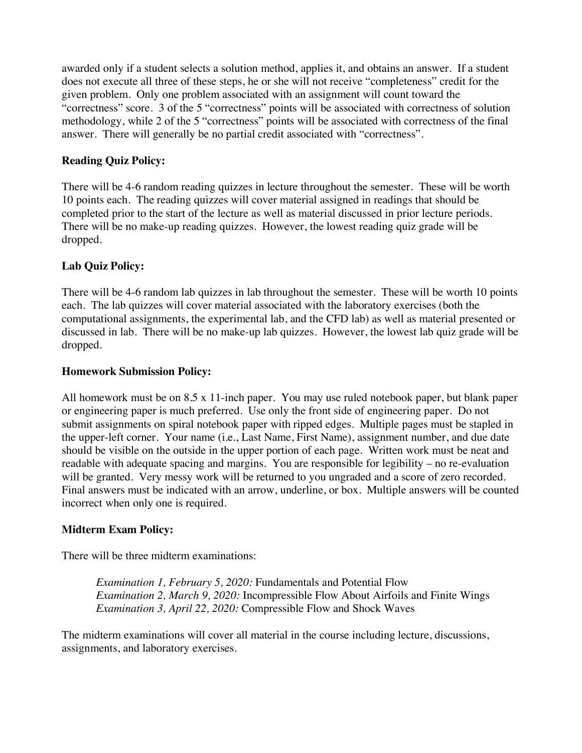awarded only if a student selects a solution method, applies it, and obtains an answer. If a student does not execute all three of these steps, he or she will not receive "completeness" credit for the given problem. Only one problem associated with an assignment will count toward the "correctness" score. 3 of the 5 "correctness" points will be associated with correctness of solution methodology, while 2 of the 5 "correctness" points will be associated with correctness of the final answer. There will generally be no partial credit associated with "correctness".

# **Reading Quiz Policy:**

There will be 4-6 random reading quizzes in lecture throughout the semester. These will be worth 10 points each. The reading quizzes will cover material assigned in readings that should be completed prior to the start of the lecture as well as material discussed in prior lecture periods. There will be no make-up reading quizzes. However, the lowest reading quiz grade will be dropped.

# **Lab Quiz Policy:**

There will be 4-6 random lab quizzes in lab throughout the semester. These will be worth 10 points each. The lab quizzes will cover material associated with the laboratory exercises (both the computational assignments, the experimental lab, and the CFD lab) as well as material presented or discussed in lab. There will be no make-up lab quizzes. However, the lowest lab quiz grade will be dropped.

# **Homework Submission Policy:**

All homework must be on 8.5 x 11-inch paper. You may use ruled notebook paper, but blank paper or engineering paper is much preferred. Use only the front side of engineering paper. Do not submit assignments on spiral notebook paper with ripped edges. Multiple pages must be stapled in the upper-left corner. Your name (i.e., Last Name, First Name), assignment number, and due date should be visible on the outside in the upper portion of each page. Written work must be neat and readable with adequate spacing and margins. You are responsible for legibility – no re-evaluation will be granted. Very messy work will be returned to you ungraded and a score of zero recorded. Final answers must be indicated with an arrow, underline, or box. Multiple answers will be counted incorrect when only one is required.

# **Midterm Exam Policy:**

There will be three midterm examinations:

*Examination 1, February 5, 2020:* Fundamentals and Potential Flow *Examination 2, March 9, 2020:* Incompressible Flow About Airfoils and Finite Wings *Examination 3, April 22, 2020:* Compressible Flow and Shock Waves

The midterm examinations will cover all material in the course including lecture, discussions, assignments, and laboratory exercises.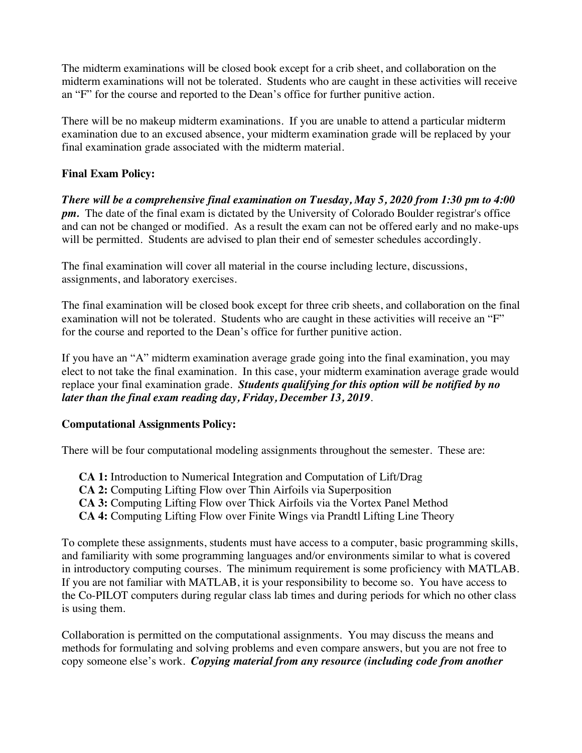The midterm examinations will be closed book except for a crib sheet, and collaboration on the midterm examinations will not be tolerated. Students who are caught in these activities will receive an "F" for the course and reported to the Dean's office for further punitive action.

There will be no makeup midterm examinations. If you are unable to attend a particular midterm examination due to an excused absence, your midterm examination grade will be replaced by your final examination grade associated with the midterm material.

# **Final Exam Policy:**

*There will be a comprehensive final examination on Tuesday, May 5, 2020 from 1:30 pm to 4:00 pm.* The date of the final exam is dictated by the University of Colorado Boulder registrar's office and can not be changed or modified. As a result the exam can not be offered early and no make-ups will be permitted. Students are advised to plan their end of semester schedules accordingly.

The final examination will cover all material in the course including lecture, discussions, assignments, and laboratory exercises.

The final examination will be closed book except for three crib sheets, and collaboration on the final examination will not be tolerated. Students who are caught in these activities will receive an "F" for the course and reported to the Dean's office for further punitive action.

If you have an "A" midterm examination average grade going into the final examination, you may elect to not take the final examination. In this case, your midterm examination average grade would replace your final examination grade. *Students qualifying for this option will be notified by no later than the final exam reading day, Friday, December 13, 2019.*

# **Computational Assignments Policy:**

There will be four computational modeling assignments throughout the semester. These are:

**CA 1:** Introduction to Numerical Integration and Computation of Lift/Drag **CA 2:** Computing Lifting Flow over Thin Airfoils via Superposition **CA 3:** Computing Lifting Flow over Thick Airfoils via the Vortex Panel Method **CA 4:** Computing Lifting Flow over Finite Wings via Prandtl Lifting Line Theory

To complete these assignments, students must have access to a computer, basic programming skills, and familiarity with some programming languages and/or environments similar to what is covered in introductory computing courses. The minimum requirement is some proficiency with MATLAB. If you are not familiar with MATLAB, it is your responsibility to become so. You have access to the Co-PILOT computers during regular class lab times and during periods for which no other class is using them.

Collaboration is permitted on the computational assignments. You may discuss the means and methods for formulating and solving problems and even compare answers, but you are not free to copy someone else's work. *Copying material from any resource (including code from another*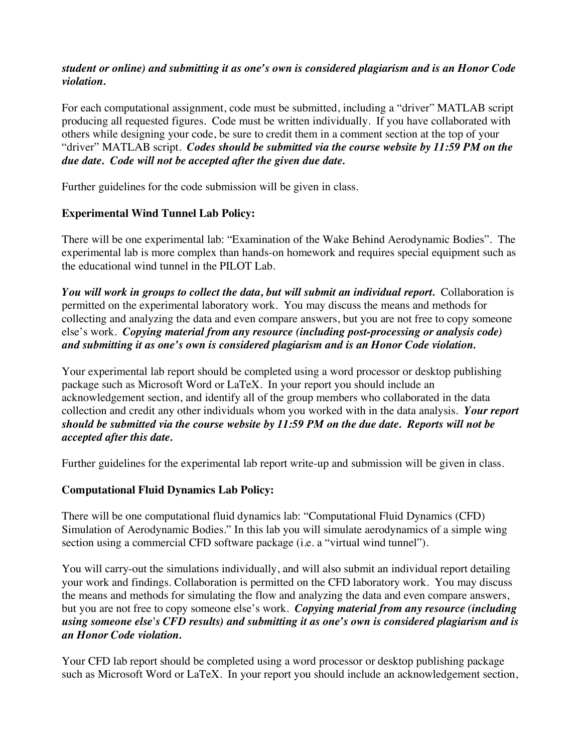## *student or online) and submitting it as one's own is considered plagiarism and is an Honor Code violation.*

For each computational assignment, code must be submitted, including a "driver" MATLAB script producing all requested figures. Code must be written individually. If you have collaborated with others while designing your code, be sure to credit them in a comment section at the top of your "driver" MATLAB script. *Codes should be submitted via the course website by 11:59 PM on the due date. Code will not be accepted after the given due date.*

Further guidelines for the code submission will be given in class.

# **Experimental Wind Tunnel Lab Policy:**

There will be one experimental lab: "Examination of the Wake Behind Aerodynamic Bodies".The experimental lab is more complex than hands-on homework and requires special equipment such as the educational wind tunnel in the PILOT Lab.

*You will work in groups to collect the data, but will submit an individual report.* Collaboration is permitted on the experimental laboratory work. You may discuss the means and methods for collecting and analyzing the data and even compare answers, but you are not free to copy someone else's work. *Copying material from any resource (including post-processing or analysis code) and submitting it as one's own is considered plagiarism and is an Honor Code violation.*

Your experimental lab report should be completed using a word processor or desktop publishing package such as Microsoft Word or LaTeX. In your report you should include an acknowledgement section, and identify all of the group members who collaborated in the data collection and credit any other individuals whom you worked with in the data analysis. *Your report should be submitted via the course website by 11:59 PM on the due date. Reports will not be accepted after this date.*

Further guidelines for the experimental lab report write-up and submission will be given in class.

# **Computational Fluid Dynamics Lab Policy:**

There will be one computational fluid dynamics lab: "Computational Fluid Dynamics (CFD) Simulation of Aerodynamic Bodies." In this lab you will simulate aerodynamics of a simple wing section using a commercial CFD software package (i.e. a "virtual wind tunnel").

You will carry-out the simulations individually, and will also submit an individual report detailing your work and findings. Collaboration is permitted on the CFD laboratory work. You may discuss the means and methods for simulating the flow and analyzing the data and even compare answers, but you are not free to copy someone else's work. *Copying material from any resource (including using someone else's CFD results) and submitting it as one's own is considered plagiarism and is an Honor Code violation.*

Your CFD lab report should be completed using a word processor or desktop publishing package such as Microsoft Word or LaTeX. In your report you should include an acknowledgement section,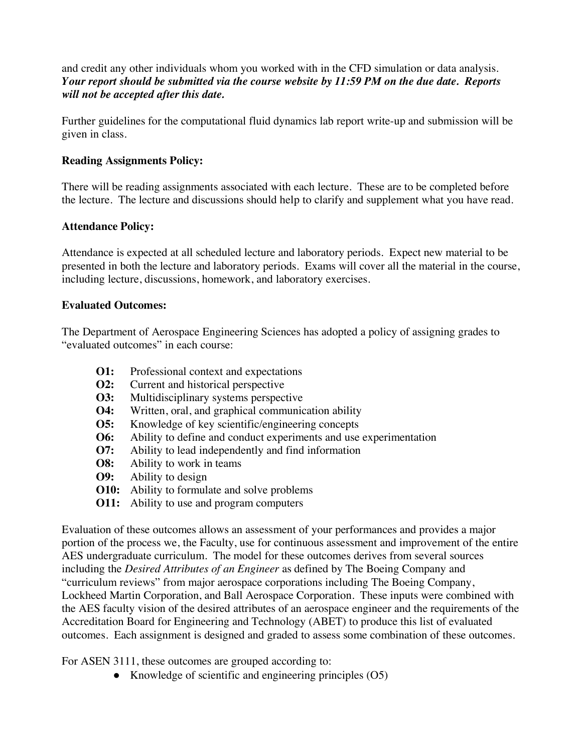and credit any other individuals whom you worked with in the CFD simulation or data analysis. *Your report should be submitted via the course website by 11:59 PM on the due date. Reports will not be accepted after this date.*

Further guidelines for the computational fluid dynamics lab report write-up and submission will be given in class.

## **Reading Assignments Policy:**

There will be reading assignments associated with each lecture. These are to be completed before the lecture. The lecture and discussions should help to clarify and supplement what you have read.

### **Attendance Policy:**

Attendance is expected at all scheduled lecture and laboratory periods. Expect new material to be presented in both the lecture and laboratory periods. Exams will cover all the material in the course, including lecture, discussions, homework, and laboratory exercises.

### **Evaluated Outcomes:**

The Department of Aerospace Engineering Sciences has adopted a policy of assigning grades to "evaluated outcomes" in each course:

- **O1:** Professional context and expectations
- **O2:** Current and historical perspective
- **O3:** Multidisciplinary systems perspective
- **O4:** Written, oral, and graphical communication ability
- **O5:** Knowledge of key scientific/engineering concepts
- **O6:** Ability to define and conduct experiments and use experimentation
- **O7:** Ability to lead independently and find information
- **O8:** Ability to work in teams
- **O9:** Ability to design
- **O10:** Ability to formulate and solve problems
- **O11:** Ability to use and program computers

Evaluation of these outcomes allows an assessment of your performances and provides a major portion of the process we, the Faculty, use for continuous assessment and improvement of the entire AES undergraduate curriculum. The model for these outcomes derives from several sources including the *Desired Attributes of an Engineer* as defined by The Boeing Company and "curriculum reviews" from major aerospace corporations including The Boeing Company, Lockheed Martin Corporation, and Ball Aerospace Corporation. These inputs were combined with the AES faculty vision of the desired attributes of an aerospace engineer and the requirements of the Accreditation Board for Engineering and Technology (ABET) to produce this list of evaluated outcomes. Each assignment is designed and graded to assess some combination of these outcomes.

For ASEN 3111, these outcomes are grouped according to:

• Knowledge of scientific and engineering principles (O5)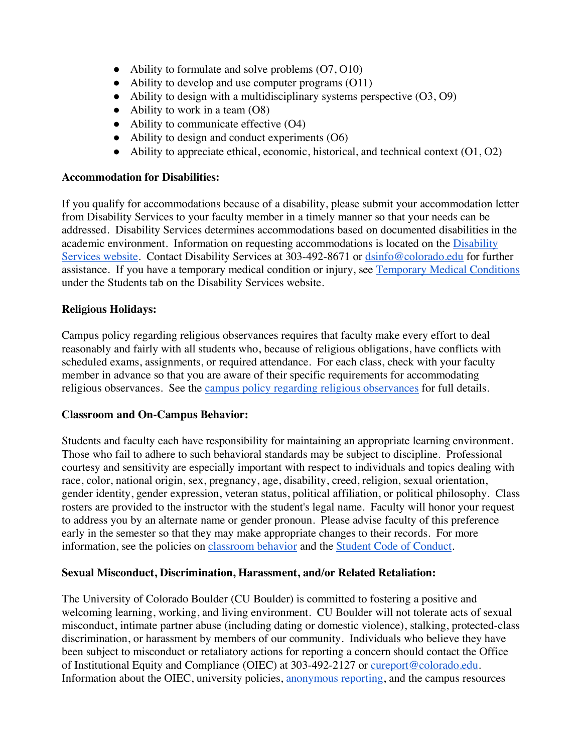- Ability to formulate and solve problems  $(07, 010)$
- Ability to develop and use computer programs (O11)
- $\bullet$  Ability to design with a multidisciplinary systems perspective  $(O3, O9)$
- $\bullet$  Ability to work in a team  $(08)$
- Ability to communicate effective (O4)
- $\bullet$  Ability to design and conduct experiments  $(06)$
- $\bullet$  Ability to appreciate ethical, economic, historical, and technical context  $(01, 02)$

# **Accommodation for Disabilities:**

If you qualify for accommodations because of a disability, please submit your accommodation letter from Disability Services to your faculty member in a timely manner so that your needs can be addressed. Disability Services determines accommodations based on documented disabilities in the academic environment. Information on requesting accommodations is located on the Disability Services website. Contact Disability Services at 303-492-8671 or dsinfo@colorado.edu for further assistance. If you have a temporary medical condition or injury, see Temporary Medical Conditions under the Students tab on the Disability Services website.

# **Religious Holidays:**

Campus policy regarding religious observances requires that faculty make every effort to deal reasonably and fairly with all students who, because of religious obligations, have conflicts with scheduled exams, assignments, or required attendance. For each class, check with your faculty member in advance so that you are aware of their specific requirements for accommodating religious observances. See the campus policy regarding religious observances for full details.

### **Classroom and On-Campus Behavior:**

Students and faculty each have responsibility for maintaining an appropriate learning environment. Those who fail to adhere to such behavioral standards may be subject to discipline. Professional courtesy and sensitivity are especially important with respect to individuals and topics dealing with race, color, national origin, sex, pregnancy, age, disability, creed, religion, sexual orientation, gender identity, gender expression, veteran status, political affiliation, or political philosophy. Class rosters are provided to the instructor with the student's legal name. Faculty will honor your request to address you by an alternate name or gender pronoun. Please advise faculty of this preference early in the semester so that they may make appropriate changes to their records. For more information, see the policies on classroom behavior and the Student Code of Conduct.

# **Sexual Misconduct, Discrimination, Harassment, and/or Related Retaliation:**

The University of Colorado Boulder (CU Boulder) is committed to fostering a positive and welcoming learning, working, and living environment. CU Boulder will not tolerate acts of sexual misconduct, intimate partner abuse (including dating or domestic violence), stalking, protected-class discrimination, or harassment by members of our community. Individuals who believe they have been subject to misconduct or retaliatory actions for reporting a concern should contact the Office of Institutional Equity and Compliance (OIEC) at 303-492-2127 or cureport@colorado.edu. Information about the OIEC, university policies, anonymous reporting, and the campus resources